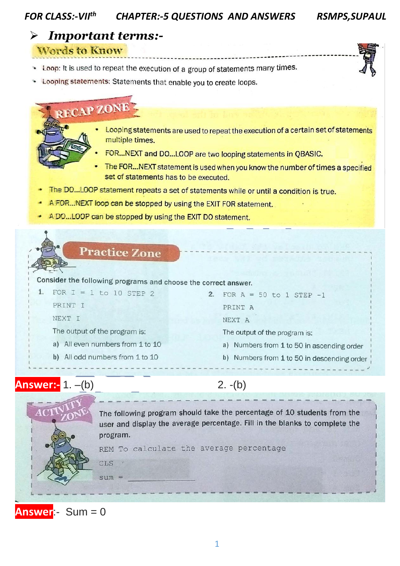#### **FOR CLASS:-VIIth CHAPTER:-5 QUESTIONS AND ANSWERS**

**RSMPS, SUPAUL** 

### **Important terms:-** $\blacktriangleright$

**Words to Know** 

- \* Loop: It is used to repeat the execution of a group of statements many times.
- \* Looping statements: Statements that enable you to create loops.

# RECAP ZONE

- Looping statements are used to repeat the execution of a certain set of statements multiple times.
- FOR...NEXT and DO...LOOP are two looping statements in QBASIC.
- The FOR...NEXT statement is used when you know the number of times a specified set of statements has to be executed.
- The DO...LOOP statement repeats a set of statements while or until a condition is true.
- A FOR...NEXT loop can be stopped by using the EXIT FOR statement.
- A DO...LOOP can be stopped by using the EXIT DO statement.



**Answer:-** 1. -(b)

# $2. - (b)$



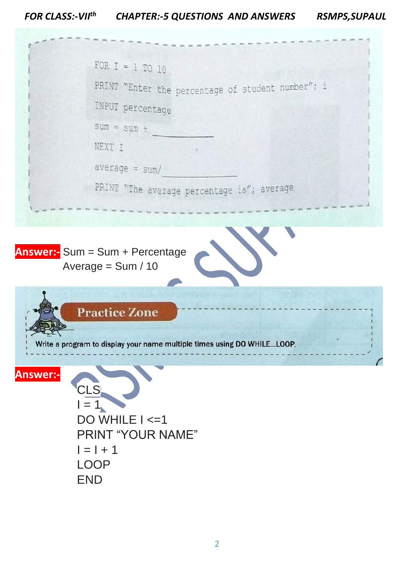### *FOR CLASS:-VII th* **CHAPTER:-5 QUESTIONS AND ANSWERS**

| <b>RSMPS, SUPAUL</b> |  |
|----------------------|--|
|----------------------|--|

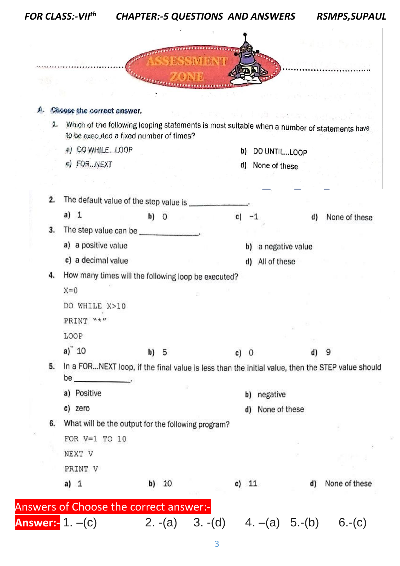|    | <b>FOR CLASS:-VIIth</b>                             |                                                    | <b>CHAPTER:-5 QUESTIONS AND ANSWERS</b>                                                          | <b>RSMPS, SUPAUL</b>                                                                                           |
|----|-----------------------------------------------------|----------------------------------------------------|--------------------------------------------------------------------------------------------------|----------------------------------------------------------------------------------------------------------------|
|    |                                                     |                                                    |                                                                                                  |                                                                                                                |
|    |                                                     |                                                    | 外的心情的                                                                                            |                                                                                                                |
|    |                                                     |                                                    |                                                                                                  |                                                                                                                |
|    |                                                     |                                                    |                                                                                                  |                                                                                                                |
|    |                                                     |                                                    |                                                                                                  |                                                                                                                |
|    | Choose the correct answer.                          |                                                    |                                                                                                  | $\mathbf{v}^1:=\mathbf{1} \cdot \mathbf{v}^2 \mathbf{1}$ . The contribution of the contribution $\mathbf{v}^2$ |
| а. | to be executed a fixed number of times?             |                                                    | Which of the following looping statements is most suitable when a number of statements have      |                                                                                                                |
|    | a) DO WHILELOOP                                     |                                                    | b)<br>DO UNTILLOOP                                                                               |                                                                                                                |
|    | c) FOR  NEXT                                        |                                                    | d)<br>None of these                                                                              |                                                                                                                |
|    |                                                     |                                                    |                                                                                                  |                                                                                                                |
|    |                                                     |                                                    |                                                                                                  |                                                                                                                |
| 2. | The default value of the step value is ___          |                                                    |                                                                                                  |                                                                                                                |
|    | a) $1$                                              | $\mathbf{b}$ ) $\mathbf{0}$                        | C)                                                                                               | None of these<br>d)                                                                                            |
| 3. |                                                     |                                                    |                                                                                                  |                                                                                                                |
|    | a) a positive value                                 |                                                    | a negative value<br>b)                                                                           |                                                                                                                |
|    | c) a decimal value                                  |                                                    | All of these<br>d)                                                                               |                                                                                                                |
| 4. | How many times will the following loop be executed? |                                                    |                                                                                                  |                                                                                                                |
|    | $X=0$                                               |                                                    |                                                                                                  |                                                                                                                |
|    | DO WHILE X>10                                       |                                                    |                                                                                                  |                                                                                                                |
|    | $H$ * $H$<br>PRINT                                  |                                                    |                                                                                                  |                                                                                                                |
|    | LOOP                                                |                                                    |                                                                                                  |                                                                                                                |
|    | a) $10$                                             | b) 5                                               | $c)$ 0                                                                                           | d)<br>9                                                                                                        |
| 5. |                                                     |                                                    | In a FORNEXT loop, if the final value is less than the initial value, then the STEP value should |                                                                                                                |
|    |                                                     |                                                    |                                                                                                  |                                                                                                                |
|    | a) Positive                                         |                                                    | negative<br>b)                                                                                   |                                                                                                                |
|    | c) zero                                             |                                                    | None of these<br>d)                                                                              |                                                                                                                |
| 6. |                                                     | What will be the output for the following program? |                                                                                                  |                                                                                                                |
|    | FOR $V=1$ TO 10                                     |                                                    |                                                                                                  |                                                                                                                |
|    | NEXT V                                              |                                                    |                                                                                                  |                                                                                                                |
|    | PRINT V                                             |                                                    |                                                                                                  |                                                                                                                |
|    |                                                     |                                                    |                                                                                                  |                                                                                                                |
|    | a) $1$                                              | 10<br>b)                                           | c) 11                                                                                            | None of these<br>d)                                                                                            |
|    | Answers of Choose the correct answer:-              |                                                    |                                                                                                  |                                                                                                                |

ÿ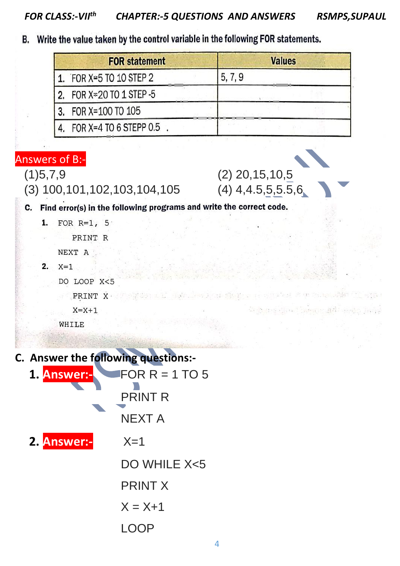B. Write the value taken by the control variable in the following FOR statements.

| <b>FOR statement</b>            | <b>Values</b> |  |
|---------------------------------|---------------|--|
| 1. FOR $X \cong 5$ TO 10 STEP 2 | 5, 7, 9       |  |
| 2. FOR X=20 TO 1 STEP -5        |               |  |
| 3. FOR X=100 TO 105             |               |  |
| FOR $X=4$ TO 6 STEPP 0.5        |               |  |

Answers of B:-

(3) 100,101,102,103,104,105 (4) 4,4.5,5,5.5,6

 $(1)5,7,9$   $(2)$  20,15,10,5

C. Find error(s) in the following programs and write the correct code.

```
1.
FOR R=1, 5
```
PRINT R NEXT A

 $2.$  $X=1$ 

> DO LOOP X<5 PRINT X

```
X = X + 1
```
WHILE

| C. Answer the following questions:- |                  |  |
|-------------------------------------|------------------|--|
| 1. Answer:-                         | FOR $R = 1$ TO 5 |  |
|                                     | <b>PRINT R</b>   |  |
|                                     | NEXT A           |  |
| 2. Answer:-                         | $X=1$            |  |
|                                     | $DO$ WHILE $X5$  |  |
|                                     | <b>PRINT X</b>   |  |
|                                     | $X = X+1$        |  |
|                                     |                  |  |
|                                     |                  |  |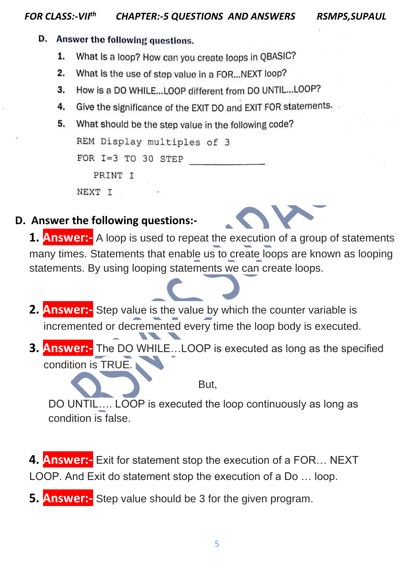### D. Answer the following questions.

- 1. What is a loop? How can you create loops in QBASIC?
- 2. What is the use of step value in a FOR...NEXT loop?
- How is a DO WHILE...LOOP different from DO UNTIL...LOOP? 3.
- Give the significance of the EXIT DO and EXIT FOR statements. 4.
- 5. What should be the step value in the following code?

```
REM Display multiples of 3
```

```
FOR I=3 TO 30 STEP
```
PRINT T

NEXT I

## **D. Answer the following questions:-**



- **2. Answer:-** Step value is the value by which the counter variable is incremented or decremented every time the loop body is executed.
- **3. Answer:-** The DO WHILE…LOOP is executed as long as the specified condition is TRUE.

But,

DO UNTIL…. LOOP is executed the loop continuously as long as condition is false.

- **4. Answer:-** Exit for statement stop the execution of a FOR… NEXT LOOP. And Exit do statement stop the execution of a Do … loop.
- **5. Answer:-** Step value should be 3 for the given program.